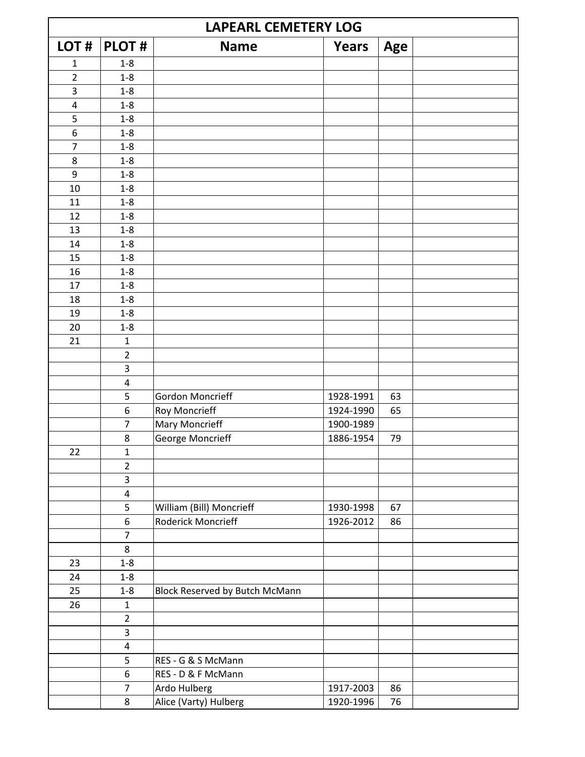| <b>LAPEARL CEMETERY LOG</b> |                         |                                       |              |     |  |  |
|-----------------------------|-------------------------|---------------------------------------|--------------|-----|--|--|
| LOT#                        | <b>PLOT#</b>            | <b>Name</b>                           | <b>Years</b> | Age |  |  |
| $\mathbf{1}$                | $1 - 8$                 |                                       |              |     |  |  |
| $\overline{2}$              | $1 - 8$                 |                                       |              |     |  |  |
| 3                           | $1 - 8$                 |                                       |              |     |  |  |
| $\pmb{4}$                   | $1 - 8$                 |                                       |              |     |  |  |
| 5                           | $1 - 8$                 |                                       |              |     |  |  |
| 6                           | $1 - 8$                 |                                       |              |     |  |  |
| $\overline{7}$              | $1 - 8$                 |                                       |              |     |  |  |
| 8                           | $1 - 8$                 |                                       |              |     |  |  |
| 9                           | $1 - 8$                 |                                       |              |     |  |  |
| 10                          | $1 - 8$                 |                                       |              |     |  |  |
| 11                          | $1 - 8$                 |                                       |              |     |  |  |
| 12                          | $1 - 8$                 |                                       |              |     |  |  |
| 13                          | $1 - 8$                 |                                       |              |     |  |  |
| 14                          | $1 - 8$                 |                                       |              |     |  |  |
| 15                          | $1 - 8$                 |                                       |              |     |  |  |
| 16                          | $1 - 8$                 |                                       |              |     |  |  |
| 17                          | $1 - 8$                 |                                       |              |     |  |  |
| 18                          | $1 - 8$                 |                                       |              |     |  |  |
| 19                          | $1 - 8$                 |                                       |              |     |  |  |
| 20                          | $1 - 8$                 |                                       |              |     |  |  |
| 21                          | $\mathbf 1$             |                                       |              |     |  |  |
|                             | $\mathbf 2$             |                                       |              |     |  |  |
|                             | 3                       |                                       |              |     |  |  |
|                             | $\pmb{4}$               |                                       |              |     |  |  |
|                             | 5                       | <b>Gordon Moncrieff</b>               | 1928-1991    | 63  |  |  |
|                             | 6                       | Roy Moncrieff                         | 1924-1990    | 65  |  |  |
|                             | $\overline{7}$          | Mary Moncrieff                        | 1900-1989    |     |  |  |
|                             | 8                       | George Moncrieff                      | 1886-1954    | 79  |  |  |
| 22                          | $\mathbf{1}$            |                                       |              |     |  |  |
|                             | $\overline{2}$          |                                       |              |     |  |  |
|                             | $\overline{\mathbf{3}}$ |                                       |              |     |  |  |
|                             | 4                       |                                       |              |     |  |  |
|                             | 5                       | William (Bill) Moncrieff              | 1930-1998    | 67  |  |  |
|                             | 6                       | Roderick Moncrieff                    | 1926-2012    | 86  |  |  |
|                             | $\overline{7}$          |                                       |              |     |  |  |
|                             | 8                       |                                       |              |     |  |  |
| 23                          | $1 - 8$                 |                                       |              |     |  |  |
| 24                          | $1 - 8$                 |                                       |              |     |  |  |
| 25                          | $1 - 8$                 | <b>Block Reserved by Butch McMann</b> |              |     |  |  |
| 26                          | $\mathbf{1}$            |                                       |              |     |  |  |
|                             | $\overline{2}$          |                                       |              |     |  |  |
|                             | $\overline{\mathbf{3}}$ |                                       |              |     |  |  |
|                             | $\pmb{4}$               |                                       |              |     |  |  |
|                             | 5                       | RES - G & S McMann                    |              |     |  |  |
|                             | 6                       | RES - D & F McMann                    |              |     |  |  |
|                             | $\overline{7}$          | Ardo Hulberg                          | 1917-2003    | 86  |  |  |
|                             | 8                       | Alice (Varty) Hulberg                 | 1920-1996    | 76  |  |  |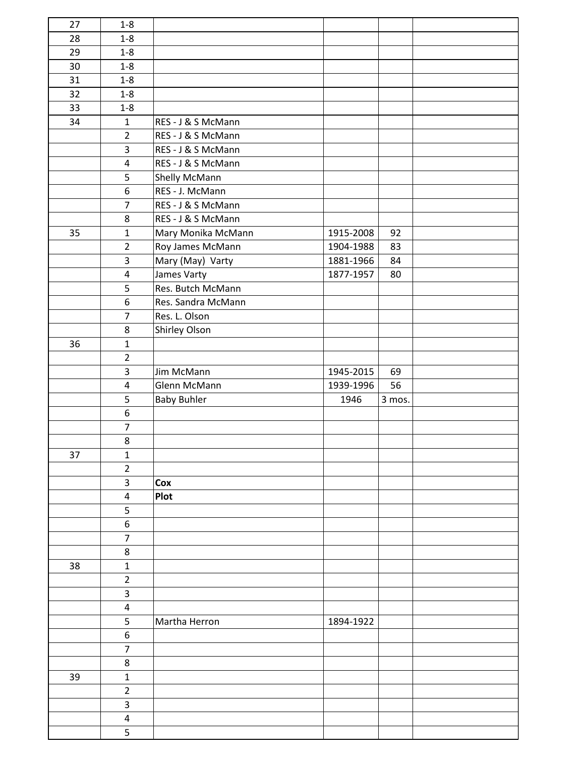| 27 | $1-8$                   |                    |           |        |  |
|----|-------------------------|--------------------|-----------|--------|--|
| 28 | $1 - 8$                 |                    |           |        |  |
| 29 | $1 - 8$                 |                    |           |        |  |
| 30 | $1-8$                   |                    |           |        |  |
| 31 | $1-8$                   |                    |           |        |  |
| 32 | $1-8$                   |                    |           |        |  |
| 33 | $1-8$                   |                    |           |        |  |
| 34 | $\mathbf{1}$            | RES - J & S McMann |           |        |  |
|    | $\overline{2}$          | RES - J & S McMann |           |        |  |
|    | 3                       | RES - J & S McMann |           |        |  |
|    | 4                       | RES - J & S McMann |           |        |  |
|    | 5                       | Shelly McMann      |           |        |  |
|    | $\boldsymbol{6}$        | RES - J. McMann    |           |        |  |
|    | $\overline{7}$          | RES - J & S McMann |           |        |  |
|    | 8                       | RES - J & S McMann |           |        |  |
| 35 | $\mathbf{1}$            | Mary Monika McMann | 1915-2008 | 92     |  |
|    | $\overline{2}$          | Roy James McMann   | 1904-1988 | 83     |  |
|    | 3                       | Mary (May) Varty   | 1881-1966 | 84     |  |
|    | $\overline{\mathbf{4}}$ | James Varty        | 1877-1957 | 80     |  |
|    | 5                       | Res. Butch McMann  |           |        |  |
|    | $\boldsymbol{6}$        | Res. Sandra McMann |           |        |  |
|    | $\overline{7}$          | Res. L. Olson      |           |        |  |
|    | 8                       | Shirley Olson      |           |        |  |
| 36 | $\mathbf{1}$            |                    |           |        |  |
|    | $\overline{2}$          |                    |           |        |  |
|    | 3                       | Jim McMann         | 1945-2015 | 69     |  |
|    | $\overline{\mathbf{4}}$ | Glenn McMann       | 1939-1996 | 56     |  |
|    | 5                       | <b>Baby Buhler</b> | 1946      | 3 mos. |  |
|    | $\boldsymbol{6}$        |                    |           |        |  |
|    | $\overline{7}$          |                    |           |        |  |
|    | $\bf 8$                 |                    |           |        |  |
| 37 | $\mathbf{1}$            |                    |           |        |  |
|    | $\overline{2}$          |                    |           |        |  |
|    |                         |                    |           |        |  |
|    | 3                       | Cox                |           |        |  |
|    | $\overline{\mathbf{4}}$ | Plot               |           |        |  |
|    | 5                       |                    |           |        |  |
|    | 6                       |                    |           |        |  |
|    | $\overline{7}$          |                    |           |        |  |
|    | 8                       |                    |           |        |  |
| 38 | $\mathbf 1$             |                    |           |        |  |
|    | $\overline{2}$          |                    |           |        |  |
|    | 3                       |                    |           |        |  |
|    | $\overline{\mathbf{4}}$ |                    |           |        |  |
|    | 5                       | Martha Herron      | 1894-1922 |        |  |
|    | 6                       |                    |           |        |  |
|    | $\overline{7}$          |                    |           |        |  |
|    | 8                       |                    |           |        |  |
| 39 | $\mathbf 1$             |                    |           |        |  |
|    | $\overline{2}$          |                    |           |        |  |
|    | 3                       |                    |           |        |  |
|    | 4                       |                    |           |        |  |
|    | 5                       |                    |           |        |  |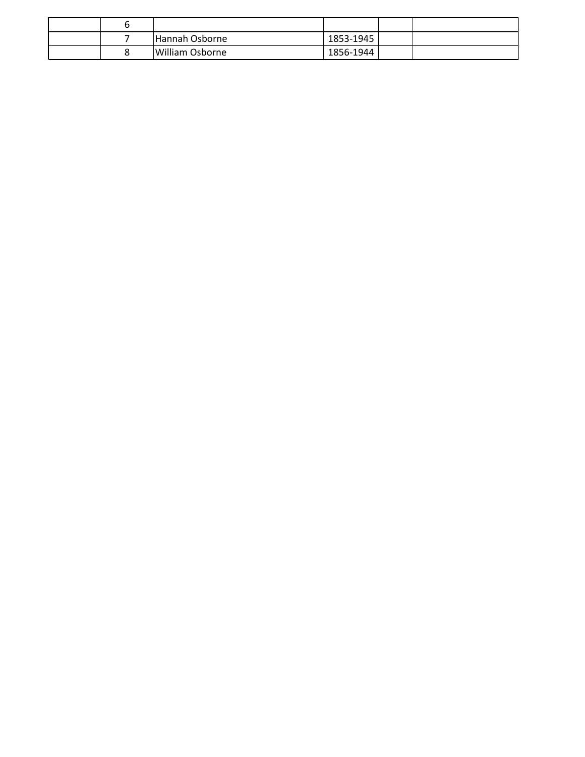|  | Hannah Osborne  | 1853-1945     |  |
|--|-----------------|---------------|--|
|  | William Osborne | $1856 - 1944$ |  |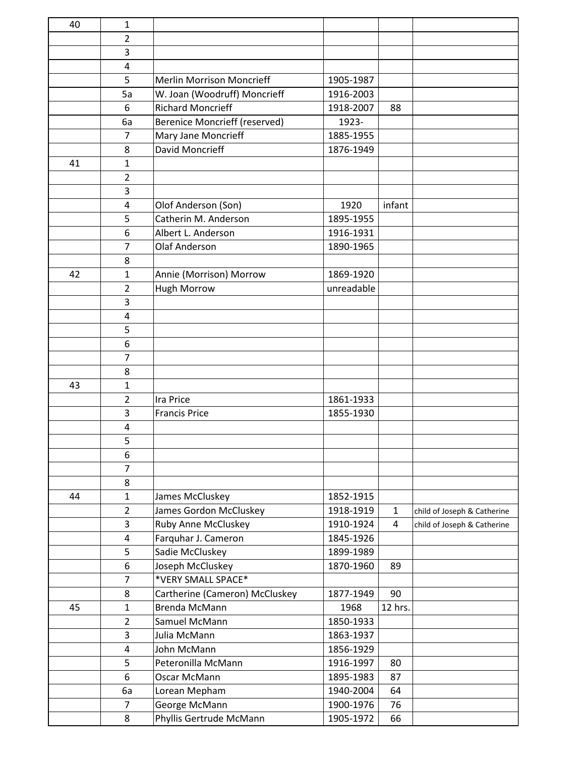| 40 | 1              |                                      |            |                |                             |
|----|----------------|--------------------------------------|------------|----------------|-----------------------------|
|    | 2              |                                      |            |                |                             |
|    | 3              |                                      |            |                |                             |
|    | 4              |                                      |            |                |                             |
|    | 5              | <b>Merlin Morrison Moncrieff</b>     | 1905-1987  |                |                             |
|    | 5a             | W. Joan (Woodruff) Moncrieff         | 1916-2003  |                |                             |
|    | 6              | <b>Richard Moncrieff</b>             | 1918-2007  | 88             |                             |
|    | 6a             | <b>Berenice Moncrieff (reserved)</b> | 1923-      |                |                             |
|    | $\overline{7}$ | Mary Jane Moncrieff                  | 1885-1955  |                |                             |
|    | 8              | David Moncrieff                      | 1876-1949  |                |                             |
| 41 | 1              |                                      |            |                |                             |
|    | $\overline{2}$ |                                      |            |                |                             |
|    | 3              |                                      |            |                |                             |
|    | 4              | Olof Anderson (Son)                  | 1920       | infant         |                             |
|    | 5              | Catherin M. Anderson                 | 1895-1955  |                |                             |
|    | 6              | Albert L. Anderson                   | 1916-1931  |                |                             |
|    | $\overline{7}$ | <b>Olaf Anderson</b>                 | 1890-1965  |                |                             |
|    | 8              |                                      |            |                |                             |
| 42 | 1              | Annie (Morrison) Morrow              | 1869-1920  |                |                             |
|    | $\overline{2}$ | <b>Hugh Morrow</b>                   | unreadable |                |                             |
|    | 3              |                                      |            |                |                             |
|    | 4              |                                      |            |                |                             |
|    | 5              |                                      |            |                |                             |
|    | 6              |                                      |            |                |                             |
|    | 7              |                                      |            |                |                             |
|    | 8              |                                      |            |                |                             |
| 43 | $\mathbf{1}$   |                                      |            |                |                             |
|    | $\overline{2}$ | <b>Ira Price</b>                     | 1861-1933  |                |                             |
|    | 3              | <b>Francis Price</b>                 | 1855-1930  |                |                             |
|    | 4              |                                      |            |                |                             |
|    | 5              |                                      |            |                |                             |
|    | 6              |                                      |            |                |                             |
|    | $\overline{7}$ |                                      |            |                |                             |
|    | 8              |                                      |            |                |                             |
| 44 | 1              | James McCluskey                      | 1852-1915  |                |                             |
|    | $\overline{2}$ | James Gordon McCluskey               | 1918-1919  | $\mathbf{1}$   | child of Joseph & Catherine |
|    | 3              | Ruby Anne McCluskey                  | 1910-1924  | $\overline{4}$ | child of Joseph & Catherine |
|    | 4              | Farquhar J. Cameron                  | 1845-1926  |                |                             |
|    | 5              | Sadie McCluskey                      | 1899-1989  |                |                             |
|    | 6              | Joseph McCluskey                     | 1870-1960  | 89             |                             |
|    | $\overline{7}$ | *VERY SMALL SPACE*                   |            |                |                             |
|    | 8              | Cartherine (Cameron) McCluskey       | 1877-1949  | 90             |                             |
| 45 | $\mathbf{1}$   | Brenda McMann                        | 1968       | 12 hrs.        |                             |
|    | $\overline{2}$ | Samuel McMann                        | 1850-1933  |                |                             |
|    | 3              | Julia McMann                         | 1863-1937  |                |                             |
|    | 4              | John McMann                          | 1856-1929  |                |                             |
|    | 5              | Peteronilla McMann                   | 1916-1997  | 80             |                             |
|    | 6              | Oscar McMann                         | 1895-1983  | 87             |                             |
|    | 6a             | Lorean Mepham                        | 1940-2004  | 64             |                             |
|    | 7              | George McMann                        | 1900-1976  | 76             |                             |
|    | 8              | Phyllis Gertrude McMann              | 1905-1972  | 66             |                             |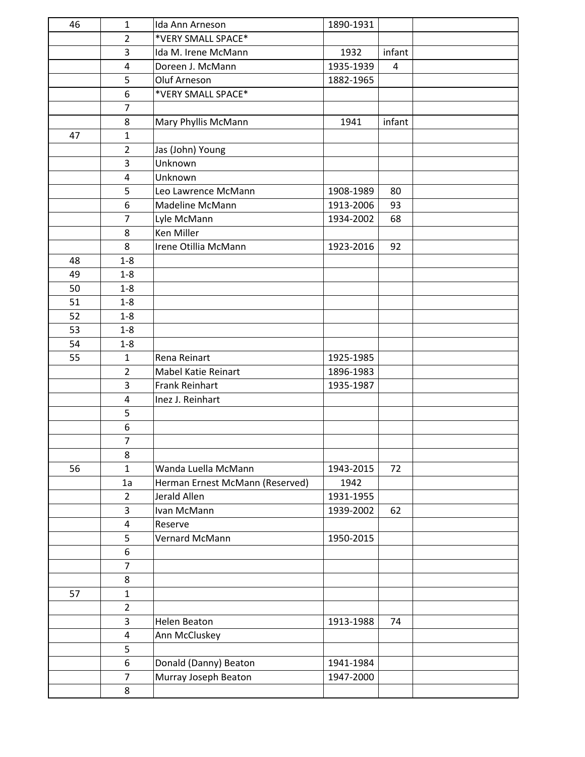| 46 | $\mathbf{1}$            | Ida Ann Arneson                 | 1890-1931 |        |  |
|----|-------------------------|---------------------------------|-----------|--------|--|
|    | $\overline{2}$          | *VERY SMALL SPACE*              |           |        |  |
|    | 3                       | Ida M. Irene McMann             | 1932      | infant |  |
|    | $\overline{\mathbf{4}}$ | Doreen J. McMann                | 1935-1939 | 4      |  |
|    | 5                       | Oluf Arneson                    | 1882-1965 |        |  |
|    | 6                       | *VERY SMALL SPACE*              |           |        |  |
|    | $\overline{7}$          |                                 |           |        |  |
|    | 8                       | Mary Phyllis McMann             | 1941      | infant |  |
| 47 | $\mathbf{1}$            |                                 |           |        |  |
|    | $\overline{2}$          | Jas (John) Young                |           |        |  |
|    | 3                       | Unknown                         |           |        |  |
|    | 4                       | Unknown                         |           |        |  |
|    | 5                       | Leo Lawrence McMann             | 1908-1989 | 80     |  |
|    | 6                       | Madeline McMann                 | 1913-2006 | 93     |  |
|    | $\overline{7}$          | Lyle McMann                     | 1934-2002 | 68     |  |
|    | 8                       | Ken Miller                      |           |        |  |
|    | 8                       | Irene Otillia McMann            | 1923-2016 | 92     |  |
| 48 | $1 - 8$                 |                                 |           |        |  |
| 49 | $1 - 8$                 |                                 |           |        |  |
| 50 | $1 - 8$                 |                                 |           |        |  |
| 51 | $1 - 8$                 |                                 |           |        |  |
| 52 | $1 - 8$                 |                                 |           |        |  |
| 53 | $1 - 8$                 |                                 |           |        |  |
| 54 | $1 - 8$                 |                                 |           |        |  |
| 55 | $\mathbf{1}$            | Rena Reinart                    | 1925-1985 |        |  |
|    | $\overline{2}$          | Mabel Katie Reinart             | 1896-1983 |        |  |
|    | 3                       | Frank Reinhart                  | 1935-1987 |        |  |
|    | 4                       | Inez J. Reinhart                |           |        |  |
|    | 5                       |                                 |           |        |  |
|    | $\boldsymbol{6}$        |                                 |           |        |  |
|    | $\overline{7}$          |                                 |           |        |  |
|    | 8                       |                                 |           |        |  |
| 56 | $\mathbf{1}$            | Wanda Luella McMann             | 1943-2015 | 72     |  |
|    | 1a                      | Herman Ernest McMann (Reserved) | 1942      |        |  |
|    | $\overline{2}$          | Jerald Allen                    | 1931-1955 |        |  |
|    | 3                       | Ivan McMann                     | 1939-2002 | 62     |  |
|    | $\overline{4}$          | Reserve                         |           |        |  |
|    | 5                       | Vernard McMann                  | 1950-2015 |        |  |
|    | 6                       |                                 |           |        |  |
|    | $\overline{7}$          |                                 |           |        |  |
|    | 8                       |                                 |           |        |  |
| 57 | $\mathbf{1}$            |                                 |           |        |  |
|    | $\overline{2}$          |                                 |           |        |  |
|    | 3                       | Helen Beaton                    | 1913-1988 | 74     |  |
|    | 4                       | Ann McCluskey                   |           |        |  |
|    | 5                       |                                 |           |        |  |
|    | 6                       | Donald (Danny) Beaton           | 1941-1984 |        |  |
|    | $\overline{7}$          | Murray Joseph Beaton            | 1947-2000 |        |  |
|    | 8                       |                                 |           |        |  |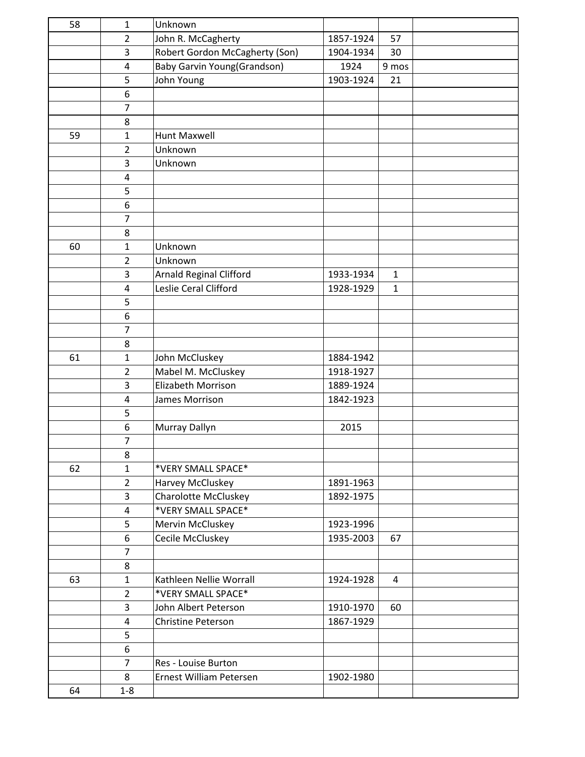| 58 | $\mathbf{1}$   | Unknown                            |           |              |  |
|----|----------------|------------------------------------|-----------|--------------|--|
|    | $\overline{2}$ | John R. McCagherty                 | 1857-1924 | 57           |  |
|    | 3              | Robert Gordon McCagherty (Son)     | 1904-1934 | 30           |  |
|    | 4              | <b>Baby Garvin Young(Grandson)</b> | 1924      | 9 mos        |  |
|    | 5              | John Young                         | 1903-1924 | 21           |  |
|    | 6              |                                    |           |              |  |
|    | $\overline{7}$ |                                    |           |              |  |
|    | 8              |                                    |           |              |  |
| 59 | $\mathbf{1}$   | Hunt Maxwell                       |           |              |  |
|    | $\overline{2}$ | Unknown                            |           |              |  |
|    | 3              | Unknown                            |           |              |  |
|    | 4              |                                    |           |              |  |
|    | 5              |                                    |           |              |  |
|    | 6              |                                    |           |              |  |
|    | $\overline{7}$ |                                    |           |              |  |
|    | 8              |                                    |           |              |  |
| 60 | $\mathbf{1}$   | Unknown                            |           |              |  |
|    | $\overline{2}$ | Unknown                            |           |              |  |
|    | 3              | <b>Arnald Reginal Clifford</b>     | 1933-1934 | $\mathbf{1}$ |  |
|    | 4              | Leslie Ceral Clifford              | 1928-1929 | $\mathbf{1}$ |  |
|    | 5              |                                    |           |              |  |
|    | 6              |                                    |           |              |  |
|    | $\overline{7}$ |                                    |           |              |  |
|    | 8              |                                    |           |              |  |
| 61 | $\mathbf{1}$   | John McCluskey                     | 1884-1942 |              |  |
|    | $\overline{2}$ | Mabel M. McCluskey                 | 1918-1927 |              |  |
|    | 3              | Elizabeth Morrison                 | 1889-1924 |              |  |
|    | 4              | James Morrison                     | 1842-1923 |              |  |
|    | 5              |                                    |           |              |  |
|    | 6              | Murray Dallyn                      | 2015      |              |  |
|    | $\overline{7}$ |                                    |           |              |  |
|    | 8              |                                    |           |              |  |
| 62 | $\mathbf{1}$   | *VERY SMALL SPACE*                 |           |              |  |
|    | $\overline{2}$ | Harvey McCluskey                   | 1891-1963 |              |  |
|    | 3              | <b>Charolotte McCluskey</b>        | 1892-1975 |              |  |
|    | 4              | *VERY SMALL SPACE*                 |           |              |  |
|    | 5              | Mervin McCluskey                   | 1923-1996 |              |  |
|    | 6              | Cecile McCluskey                   | 1935-2003 | 67           |  |
|    | $\overline{7}$ |                                    |           |              |  |
|    | 8              |                                    |           |              |  |
| 63 | $\mathbf{1}$   | Kathleen Nellie Worrall            | 1924-1928 | 4            |  |
|    | $\overline{2}$ | *VERY SMALL SPACE*                 |           |              |  |
|    | 3              | John Albert Peterson               | 1910-1970 | 60           |  |
|    | 4              | Christine Peterson                 | 1867-1929 |              |  |
|    | 5              |                                    |           |              |  |
|    | 6              |                                    |           |              |  |
|    | $\overline{7}$ | Res - Louise Burton                |           |              |  |
|    | 8              | Ernest William Petersen            | 1902-1980 |              |  |
| 64 | $1 - 8$        |                                    |           |              |  |